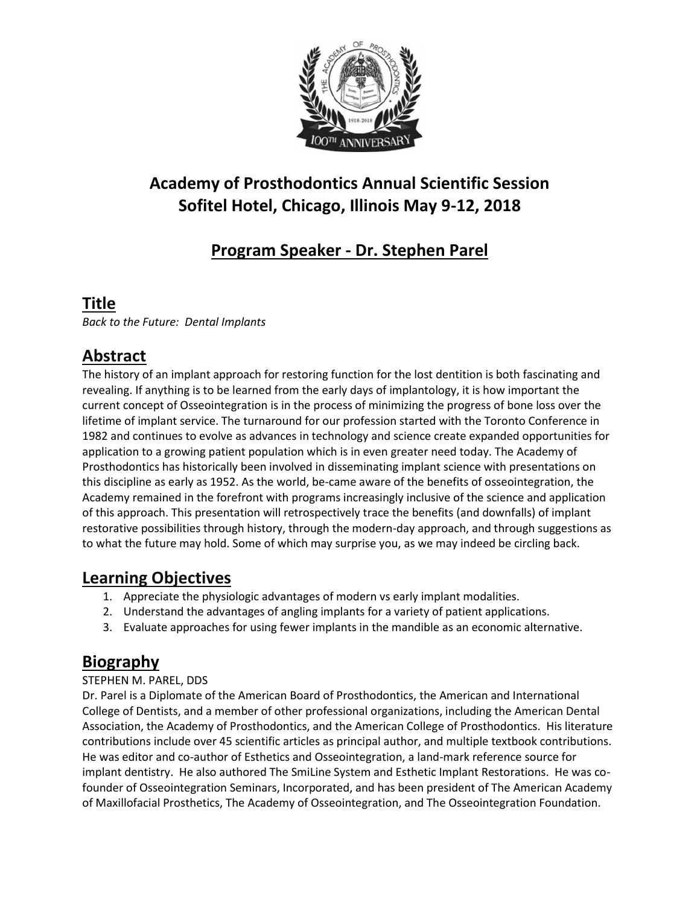

# **Academy of Prosthodontics Annual Scientific Session Sofitel Hotel, Chicago, Illinois May 9-12, 2018**

# **Program Speaker - Dr. Stephen Parel**

### **Title**

*Back to the Future: Dental Implants*

## **Abstract**

The history of an implant approach for restoring function for the lost dentition is both fascinating and revealing. If anything is to be learned from the early days of implantology, it is how important the current concept of Osseointegration is in the process of minimizing the progress of bone loss over the lifetime of implant service. The turnaround for our profession started with the Toronto Conference in 1982 and continues to evolve as advances in technology and science create expanded opportunities for application to a growing patient population which is in even greater need today. The Academy of Prosthodontics has historically been involved in disseminating implant science with presentations on this discipline as early as 1952. As the world, be-came aware of the benefits of osseointegration, the Academy remained in the forefront with programs increasingly inclusive of the science and application of this approach. This presentation will retrospectively trace the benefits (and downfalls) of implant restorative possibilities through history, through the modern-day approach, and through suggestions as to what the future may hold. Some of which may surprise you, as we may indeed be circling back.

#### **Learning Objectives**

- 1. Appreciate the physiologic advantages of modern vs early implant modalities.
- 2. Understand the advantages of angling implants for a variety of patient applications.
- 3. Evaluate approaches for using fewer implants in the mandible as an economic alternative.

## **Biography**

#### STEPHEN M. PAREL, DDS

Dr. Parel is a Diplomate of the American Board of Prosthodontics, the American and International College of Dentists, and a member of other professional organizations, including the American Dental Association, the Academy of Prosthodontics, and the American College of Prosthodontics. His literature contributions include over 45 scientific articles as principal author, and multiple textbook contributions. He was editor and co-author of Esthetics and Osseointegration, a land-mark reference source for implant dentistry. He also authored The SmiLine System and Esthetic Implant Restorations. He was cofounder of Osseointegration Seminars, Incorporated, and has been president of The American Academy of Maxillofacial Prosthetics, The Academy of Osseointegration, and The Osseointegration Foundation.